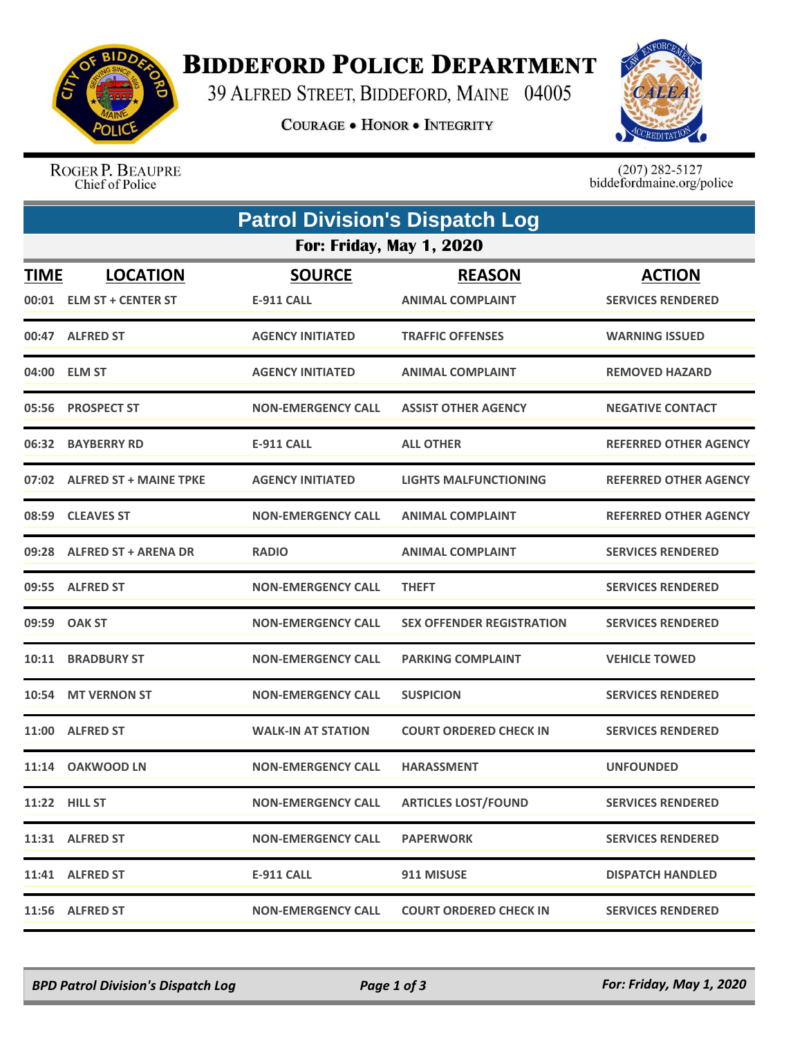

## **BIDDEFORD POLICE DEPARTMENT**

39 ALFRED STREET, BIDDEFORD, MAINE 04005

**COURAGE . HONOR . INTEGRITY** 



ROGER P. BEAUPRE Chief of Police

 $(207)$  282-5127<br>biddefordmaine.org/police

|             | <b>Patrol Division's Dispatch Log</b> |                           |                                  |                              |  |  |  |  |
|-------------|---------------------------------------|---------------------------|----------------------------------|------------------------------|--|--|--|--|
|             | <b>For: Friday, May 1, 2020</b>       |                           |                                  |                              |  |  |  |  |
| <b>TIME</b> | <b>LOCATION</b>                       | <b>SOURCE</b>             | <b>REASON</b>                    | <b>ACTION</b>                |  |  |  |  |
|             | 00:01 ELM ST + CENTER ST              | <b>E-911 CALL</b>         | <b>ANIMAL COMPLAINT</b>          | <b>SERVICES RENDERED</b>     |  |  |  |  |
|             | 00:47 ALFRED ST                       | <b>AGENCY INITIATED</b>   | <b>TRAFFIC OFFENSES</b>          | <b>WARNING ISSUED</b>        |  |  |  |  |
|             | 04:00 ELM ST                          | <b>AGENCY INITIATED</b>   | <b>ANIMAL COMPLAINT</b>          | <b>REMOVED HAZARD</b>        |  |  |  |  |
|             | 05:56 PROSPECT ST                     | <b>NON-EMERGENCY CALL</b> | <b>ASSIST OTHER AGENCY</b>       | <b>NEGATIVE CONTACT</b>      |  |  |  |  |
| 06:32       | <b>BAYBERRY RD</b>                    | <b>E-911 CALL</b>         | <b>ALL OTHER</b>                 | <b>REFERRED OTHER AGENCY</b> |  |  |  |  |
|             | 07:02 ALFRED ST + MAINE TPKE          | <b>AGENCY INITIATED</b>   | <b>LIGHTS MALFUNCTIONING</b>     | <b>REFERRED OTHER AGENCY</b> |  |  |  |  |
|             | 08:59 CLEAVES ST                      | <b>NON-EMERGENCY CALL</b> | <b>ANIMAL COMPLAINT</b>          | <b>REFERRED OTHER AGENCY</b> |  |  |  |  |
|             | 09:28 ALFRED ST + ARENA DR            | <b>RADIO</b>              | <b>ANIMAL COMPLAINT</b>          | <b>SERVICES RENDERED</b>     |  |  |  |  |
|             | 09:55 ALFRED ST                       | <b>NON-EMERGENCY CALL</b> | <b>THEFT</b>                     | <b>SERVICES RENDERED</b>     |  |  |  |  |
| 09:59       | <b>OAK ST</b>                         | <b>NON-EMERGENCY CALL</b> | <b>SEX OFFENDER REGISTRATION</b> | <b>SERVICES RENDERED</b>     |  |  |  |  |
|             | 10:11 BRADBURY ST                     | <b>NON-EMERGENCY CALL</b> | <b>PARKING COMPLAINT</b>         | <b>VEHICLE TOWED</b>         |  |  |  |  |
| 10:54       | <b>MT VERNON ST</b>                   | <b>NON-EMERGENCY CALL</b> | <b>SUSPICION</b>                 | <b>SERVICES RENDERED</b>     |  |  |  |  |
|             | 11:00 ALFRED ST                       | <b>WALK-IN AT STATION</b> | <b>COURT ORDERED CHECK IN</b>    | <b>SERVICES RENDERED</b>     |  |  |  |  |
|             | 11:14 OAKWOOD LN                      | <b>NON-EMERGENCY CALL</b> | <b>HARASSMENT</b>                | <b>UNFOUNDED</b>             |  |  |  |  |
|             | 11:22 HILL ST                         | <b>NON-EMERGENCY CALL</b> | <b>ARTICLES LOST/FOUND</b>       | <b>SERVICES RENDERED</b>     |  |  |  |  |
|             | 11:31 ALFRED ST                       | <b>NON-EMERGENCY CALL</b> | <b>PAPERWORK</b>                 | <b>SERVICES RENDERED</b>     |  |  |  |  |
|             | 11:41 ALFRED ST                       | <b>E-911 CALL</b>         | 911 MISUSE                       | <b>DISPATCH HANDLED</b>      |  |  |  |  |
|             | 11:56 ALFRED ST                       | <b>NON-EMERGENCY CALL</b> | <b>COURT ORDERED CHECK IN</b>    | <b>SERVICES RENDERED</b>     |  |  |  |  |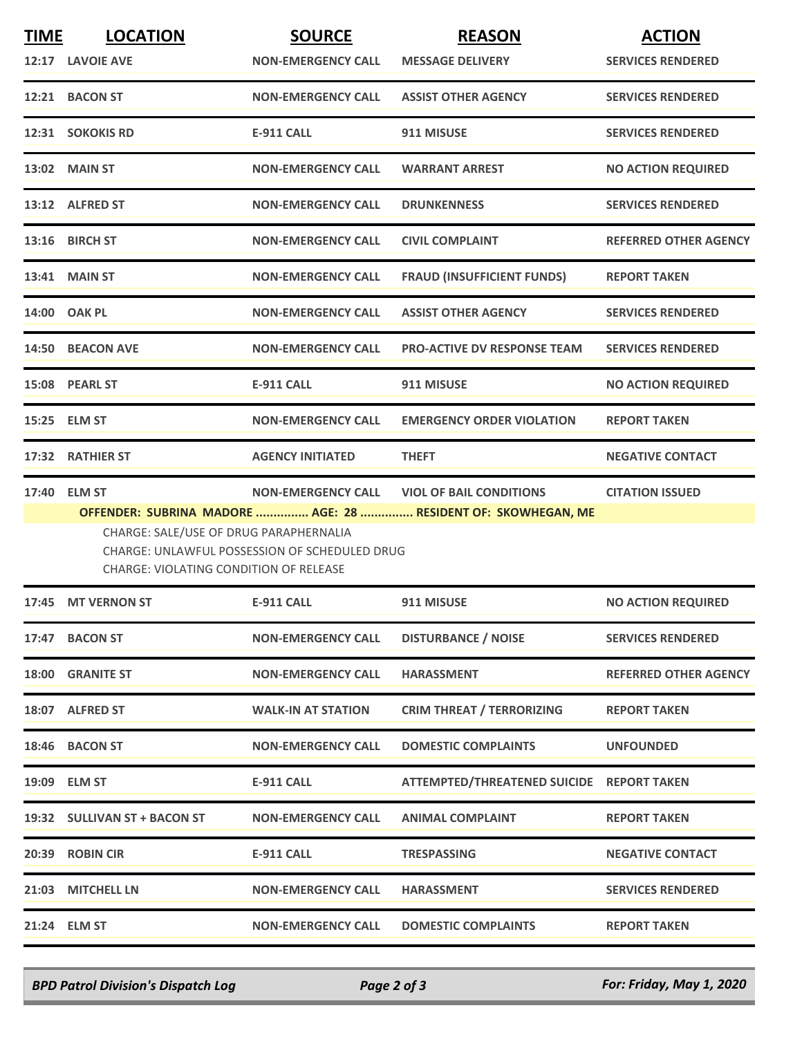| <b>TIME</b> | <b>LOCATION</b>                        | <b>SOURCE</b>                                        | <b>REASON</b>                                                 | <b>ACTION</b>                |
|-------------|----------------------------------------|------------------------------------------------------|---------------------------------------------------------------|------------------------------|
|             | 12:17 LAVOIE AVE                       | <b>NON-EMERGENCY CALL</b>                            | <b>MESSAGE DELIVERY</b>                                       | <b>SERVICES RENDERED</b>     |
|             | 12:21 BACON ST                         | <b>NON-EMERGENCY CALL</b>                            | <b>ASSIST OTHER AGENCY</b>                                    | <b>SERVICES RENDERED</b>     |
|             | 12:31 SOKOKIS RD                       | <b>E-911 CALL</b>                                    | 911 MISUSE                                                    | <b>SERVICES RENDERED</b>     |
|             | <b>13:02 MAIN ST</b>                   | <b>NON-EMERGENCY CALL</b>                            | <b>WARRANT ARREST</b>                                         | <b>NO ACTION REQUIRED</b>    |
|             | 13:12 ALFRED ST                        | <b>NON-EMERGENCY CALL</b>                            | <b>DRUNKENNESS</b>                                            | <b>SERVICES RENDERED</b>     |
|             | 13:16 BIRCH ST                         | <b>NON-EMERGENCY CALL</b>                            | <b>CIVIL COMPLAINT</b>                                        | <b>REFERRED OTHER AGENCY</b> |
|             | 13:41 MAIN ST                          | <b>NON-EMERGENCY CALL</b>                            | <b>FRAUD (INSUFFICIENT FUNDS)</b>                             | <b>REPORT TAKEN</b>          |
|             | 14:00 OAK PL                           | <b>NON-EMERGENCY CALL</b>                            | <b>ASSIST OTHER AGENCY</b>                                    | <b>SERVICES RENDERED</b>     |
|             | 14:50 BEACON AVE                       | <b>NON-EMERGENCY CALL</b>                            | <b>PRO-ACTIVE DV RESPONSE TEAM</b>                            | <b>SERVICES RENDERED</b>     |
|             | 15:08 PEARL ST                         | <b>E-911 CALL</b>                                    | 911 MISUSE                                                    | <b>NO ACTION REQUIRED</b>    |
|             | 15:25 ELM ST                           | <b>NON-EMERGENCY CALL</b>                            | <b>EMERGENCY ORDER VIOLATION</b>                              | <b>REPORT TAKEN</b>          |
|             | 17:32 RATHIER ST                       | <b>AGENCY INITIATED</b>                              | <b>THEFT</b>                                                  | <b>NEGATIVE CONTACT</b>      |
|             | 17:40 ELM ST                           | <b>NON-EMERGENCY CALL</b>                            | <b>VIOL OF BAIL CONDITIONS</b>                                | <b>CITATION ISSUED</b>       |
|             | CHARGE: SALE/USE OF DRUG PARAPHERNALIA |                                                      | OFFENDER: SUBRINA MADORE  AGE: 28  RESIDENT OF: SKOWHEGAN, ME |                              |
|             | CHARGE: VIOLATING CONDITION OF RELEASE | <b>CHARGE: UNLAWFUL POSSESSION OF SCHEDULED DRUG</b> |                                                               |                              |
|             | 17:45 MT VERNON ST                     | <b>E-911 CALL</b>                                    | 911 MISUSE                                                    | <b>NO ACTION REQUIRED</b>    |
|             | 17:47 BACON ST                         | <b>NON-EMERGENCY CALL</b>                            | <b>DISTURBANCE / NOISE</b>                                    | <b>SERVICES RENDERED</b>     |
|             | 18:00 GRANITE ST                       | <b>NON-EMERGENCY CALL</b>                            | <b>HARASSMENT</b>                                             | REFERRED OTHER AGENCY        |
|             | 18:07 ALFRED ST                        | <b>WALK-IN AT STATION</b>                            | <b>CRIM THREAT / TERRORIZING</b>                              | <b>REPORT TAKEN</b>          |
|             | 18:46 BACON ST                         | <b>NON-EMERGENCY CALL</b>                            | <b>DOMESTIC COMPLAINTS</b>                                    | <b>UNFOUNDED</b>             |
|             | 19:09 ELM ST                           | <b>E-911 CALL</b>                                    | ATTEMPTED/THREATENED SUICIDE REPORT TAKEN                     |                              |
|             | 19:32 SULLIVAN ST + BACON ST           | <b>NON-EMERGENCY CALL</b>                            | <b>ANIMAL COMPLAINT</b>                                       | <b>REPORT TAKEN</b>          |
|             | 20:39 ROBIN CIR                        | <b>E-911 CALL</b>                                    | <b>TRESPASSING</b>                                            | <b>NEGATIVE CONTACT</b>      |
|             | 21:03 MITCHELL LN                      | <b>NON-EMERGENCY CALL</b>                            | <b>HARASSMENT</b>                                             | <b>SERVICES RENDERED</b>     |
|             | 21:24 ELM ST                           | <b>NON-EMERGENCY CALL</b>                            | <b>DOMESTIC COMPLAINTS</b>                                    | <b>REPORT TAKEN</b>          |

*BPD Patrol Division's Dispatch Log Page 2 of 3 For: Friday, May 1, 2020*